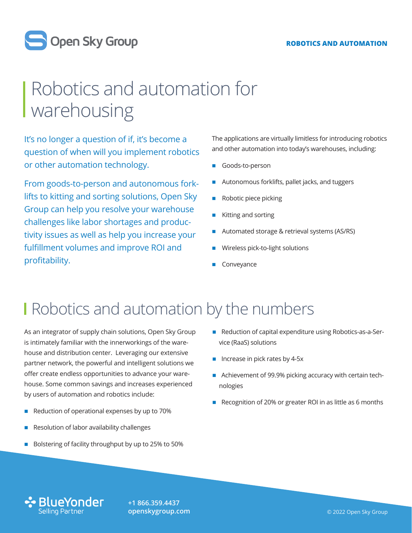#### **ROBOTICS AND AUTOMATION**



# Robotics and automation for warehousing

It's no longer a question of if, it's become a question of when will you implement robotics or other automation technology.

From goods-to-person and autonomous forklifts to kitting and sorting solutions, Open Sky Group can help you resolve your warehouse challenges like labor shortages and productivity issues as well as help you increase your fulfillment volumes and improve ROI and profitability.

The applications are virtually limitless for introducing robotics and other automation into today's warehouses, including:

- Goods-to-person
- Autonomous forklifts, pallet jacks, and tuggers
- � Robotic piece picking
- � Kitting and sorting
- � Automated storage & retrieval systems (AS/RS)
- Wireless pick-to-light solutions
- **Conveyance**

#### **I** Robotics and automation by the numbers

As an integrator of supply chain solutions, Open Sky Group is intimately familiar with the innerworkings of the warehouse and distribution center. Leveraging our extensive partner network, the powerful and intelligent solutions we offer create endless opportunities to advance your warehouse. Some common savings and increases experienced by users of automation and robotics include:

- Reduction of operational expenses by up to 70%
- � Resolution of labor availability challenges
- � Bolstering of facility throughput by up to 25% to 50%
- Reduction of capital expenditure using Robotics-as-a-Service (RaaS) solutions
- Increase in pick rates by 4-5x
- Achievement of 99.9% picking accuracy with certain technologies
- Recognition of 20% or greater ROI in as little as 6 months



**+1 866.359.4437 [openskygroup.com](http://openskygroup.com)**